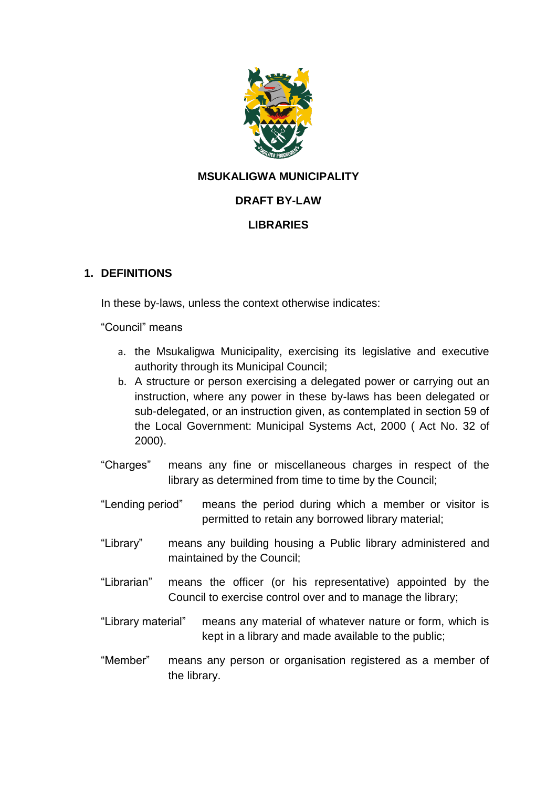

# **MSUKALIGWA MUNICIPALITY**

#### **DRAFT BY-LAW**

#### **LIBRARIES**

#### **1. DEFINITIONS**

In these by-laws, unless the context otherwise indicates:

"Council" means

- a. the Msukaligwa Municipality, exercising its legislative and executive authority through its Municipal Council;
- b. A structure or person exercising a delegated power or carrying out an instruction, where any power in these by-laws has been delegated or sub-delegated, or an instruction given, as contemplated in section 59 of the Local Government: Municipal Systems Act, 2000 ( Act No. 32 of 2000).
- "Charges" means any fine or miscellaneous charges in respect of the library as determined from time to time by the Council;
- "Lending period" means the period during which a member or visitor is permitted to retain any borrowed library material;
- "Library" means any building housing a Public library administered and maintained by the Council;
- "Librarian" means the officer (or his representative) appointed by the Council to exercise control over and to manage the library;
- "Library material" means any material of whatever nature or form, which is kept in a library and made available to the public;
- "Member" means any person or organisation registered as a member of the library.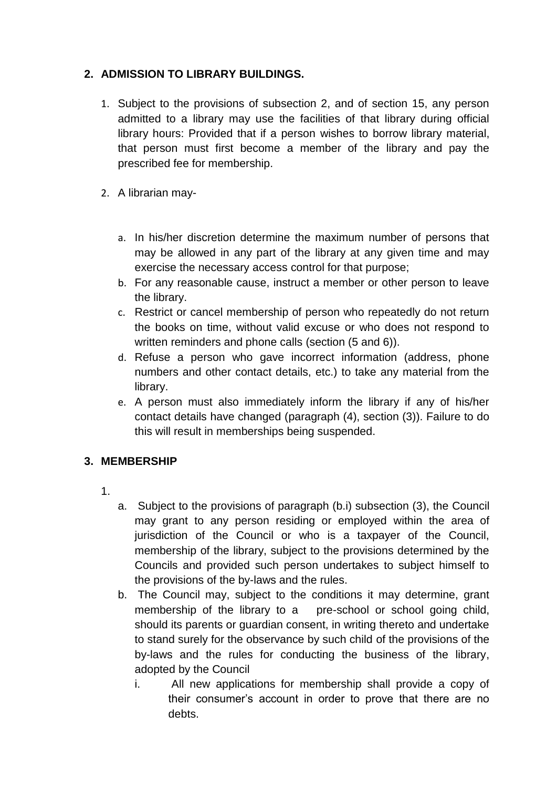# **2. ADMISSION TO LIBRARY BUILDINGS.**

- 1. Subject to the provisions of subsection 2, and of section 15, any person admitted to a library may use the facilities of that library during official library hours: Provided that if a person wishes to borrow library material, that person must first become a member of the library and pay the prescribed fee for membership.
- 2. A librarian may
	- a. In his/her discretion determine the maximum number of persons that may be allowed in any part of the library at any given time and may exercise the necessary access control for that purpose;
	- b. For any reasonable cause, instruct a member or other person to leave the library.
	- c. Restrict or cancel membership of person who repeatedly do not return the books on time, without valid excuse or who does not respond to written reminders and phone calls (section (5 and 6)).
	- d. Refuse a person who gave incorrect information (address, phone numbers and other contact details, etc.) to take any material from the library.
	- e. A person must also immediately inform the library if any of his/her contact details have changed (paragraph (4), section (3)). Failure to do this will result in memberships being suspended.

#### **3. MEMBERSHIP**

- 1.
- a. Subject to the provisions of paragraph (b.i) subsection (3), the Council may grant to any person residing or employed within the area of jurisdiction of the Council or who is a taxpayer of the Council, membership of the library, subject to the provisions determined by the Councils and provided such person undertakes to subject himself to the provisions of the by-laws and the rules.
- b. The Council may, subject to the conditions it may determine, grant membership of the library to a pre-school or school going child, should its parents or guardian consent, in writing thereto and undertake to stand surely for the observance by such child of the provisions of the by-laws and the rules for conducting the business of the library, adopted by the Council
	- i. All new applications for membership shall provide a copy of their consumer's account in order to prove that there are no debts.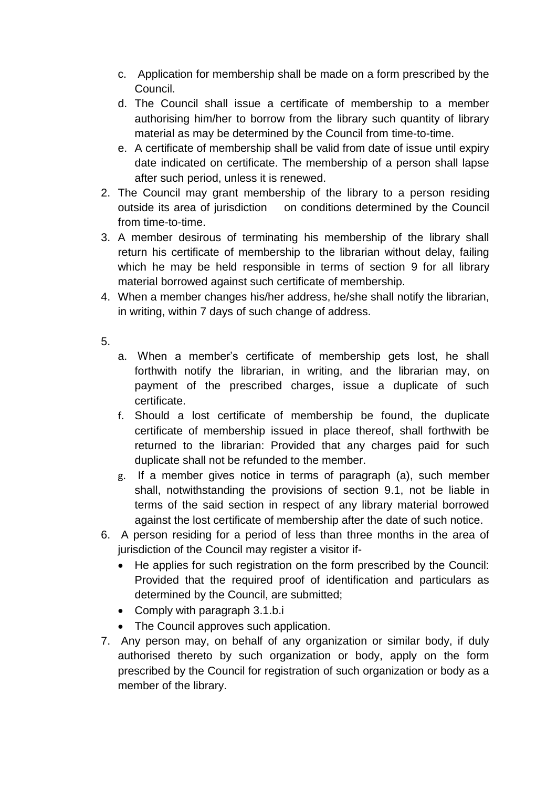- c. Application for membership shall be made on a form prescribed by the Council.
- d. The Council shall issue a certificate of membership to a member authorising him/her to borrow from the library such quantity of library material as may be determined by the Council from time-to-time.
- e. A certificate of membership shall be valid from date of issue until expiry date indicated on certificate. The membership of a person shall lapse after such period, unless it is renewed.
- 2. The Council may grant membership of the library to a person residing outside its area of jurisdiction on conditions determined by the Council from time-to-time.
- 3. A member desirous of terminating his membership of the library shall return his certificate of membership to the librarian without delay, failing which he may be held responsible in terms of section 9 for all library material borrowed against such certificate of membership.
- 4. When a member changes his/her address, he/she shall notify the librarian, in writing, within 7 days of such change of address.
- 5.
- a. When a member's certificate of membership gets lost, he shall forthwith notify the librarian, in writing, and the librarian may, on payment of the prescribed charges, issue a duplicate of such certificate.
- f. Should a lost certificate of membership be found, the duplicate certificate of membership issued in place thereof, shall forthwith be returned to the librarian: Provided that any charges paid for such duplicate shall not be refunded to the member.
- g. If a member gives notice in terms of paragraph (a), such member shall, notwithstanding the provisions of section 9.1, not be liable in terms of the said section in respect of any library material borrowed against the lost certificate of membership after the date of such notice.
- 6. A person residing for a period of less than three months in the area of jurisdiction of the Council may register a visitor if-
	- He applies for such registration on the form prescribed by the Council: Provided that the required proof of identification and particulars as determined by the Council, are submitted;
	- Comply with paragraph 3.1.b.i
	- The Council approves such application.
- 7. Any person may, on behalf of any organization or similar body, if duly authorised thereto by such organization or body, apply on the form prescribed by the Council for registration of such organization or body as a member of the library.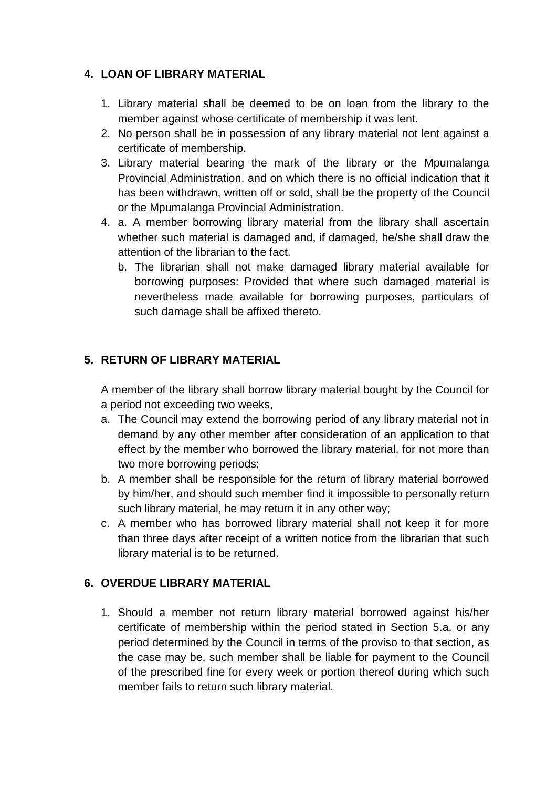# **4. LOAN OF LIBRARY MATERIAL**

- 1. Library material shall be deemed to be on loan from the library to the member against whose certificate of membership it was lent.
- 2. No person shall be in possession of any library material not lent against a certificate of membership.
- 3. Library material bearing the mark of the library or the Mpumalanga Provincial Administration, and on which there is no official indication that it has been withdrawn, written off or sold, shall be the property of the Council or the Mpumalanga Provincial Administration.
- 4. a. A member borrowing library material from the library shall ascertain whether such material is damaged and, if damaged, he/she shall draw the attention of the librarian to the fact.
	- b. The librarian shall not make damaged library material available for borrowing purposes: Provided that where such damaged material is nevertheless made available for borrowing purposes, particulars of such damage shall be affixed thereto.

### **5. RETURN OF LIBRARY MATERIAL**

A member of the library shall borrow library material bought by the Council for a period not exceeding two weeks,

- a. The Council may extend the borrowing period of any library material not in demand by any other member after consideration of an application to that effect by the member who borrowed the library material, for not more than two more borrowing periods;
- b. A member shall be responsible for the return of library material borrowed by him/her, and should such member find it impossible to personally return such library material, he may return it in any other way;
- c. A member who has borrowed library material shall not keep it for more than three days after receipt of a written notice from the librarian that such library material is to be returned.

# **6. OVERDUE LIBRARY MATERIAL**

1. Should a member not return library material borrowed against his/her certificate of membership within the period stated in Section 5.a. or any period determined by the Council in terms of the proviso to that section, as the case may be, such member shall be liable for payment to the Council of the prescribed fine for every week or portion thereof during which such member fails to return such library material.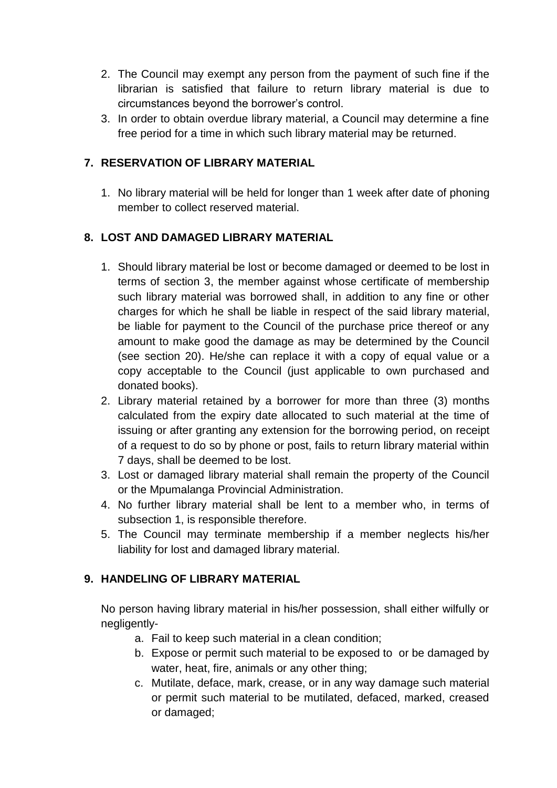- 2. The Council may exempt any person from the payment of such fine if the librarian is satisfied that failure to return library material is due to circumstances beyond the borrower's control.
- 3. In order to obtain overdue library material, a Council may determine a fine free period for a time in which such library material may be returned.

# **7. RESERVATION OF LIBRARY MATERIAL**

1. No library material will be held for longer than 1 week after date of phoning member to collect reserved material.

# **8. LOST AND DAMAGED LIBRARY MATERIAL**

- 1. Should library material be lost or become damaged or deemed to be lost in terms of section 3, the member against whose certificate of membership such library material was borrowed shall, in addition to any fine or other charges for which he shall be liable in respect of the said library material, be liable for payment to the Council of the purchase price thereof or any amount to make good the damage as may be determined by the Council (see section 20). He/she can replace it with a copy of equal value or a copy acceptable to the Council (just applicable to own purchased and donated books).
- 2. Library material retained by a borrower for more than three (3) months calculated from the expiry date allocated to such material at the time of issuing or after granting any extension for the borrowing period, on receipt of a request to do so by phone or post, fails to return library material within 7 days, shall be deemed to be lost.
- 3. Lost or damaged library material shall remain the property of the Council or the Mpumalanga Provincial Administration.
- 4. No further library material shall be lent to a member who, in terms of subsection 1, is responsible therefore.
- 5. The Council may terminate membership if a member neglects his/her liability for lost and damaged library material.

# **9. HANDELING OF LIBRARY MATERIAL**

No person having library material in his/her possession, shall either wilfully or negligently-

- a. Fail to keep such material in a clean condition;
- b. Expose or permit such material to be exposed to or be damaged by water, heat, fire, animals or any other thing;
- c. Mutilate, deface, mark, crease, or in any way damage such material or permit such material to be mutilated, defaced, marked, creased or damaged;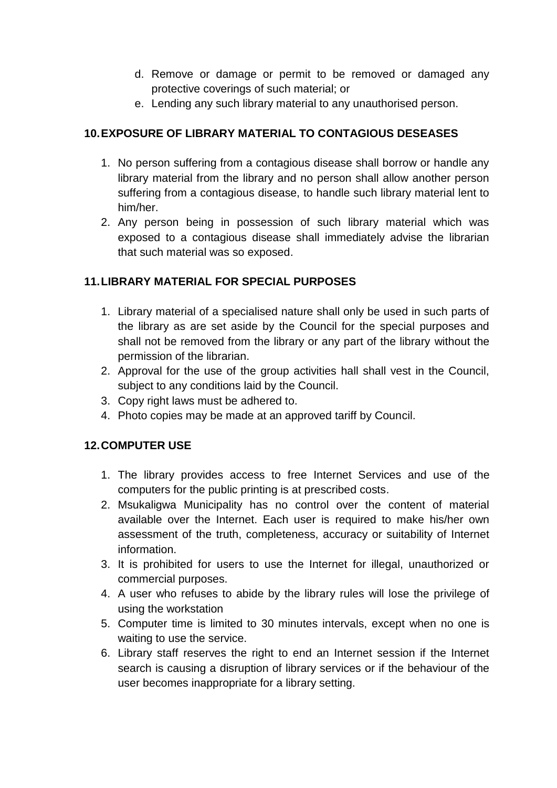- d. Remove or damage or permit to be removed or damaged any protective coverings of such material; or
- e. Lending any such library material to any unauthorised person.

# **10.EXPOSURE OF LIBRARY MATERIAL TO CONTAGIOUS DESEASES**

- 1. No person suffering from a contagious disease shall borrow or handle any library material from the library and no person shall allow another person suffering from a contagious disease, to handle such library material lent to him/her.
- 2. Any person being in possession of such library material which was exposed to a contagious disease shall immediately advise the librarian that such material was so exposed.

### **11.LIBRARY MATERIAL FOR SPECIAL PURPOSES**

- 1. Library material of a specialised nature shall only be used in such parts of the library as are set aside by the Council for the special purposes and shall not be removed from the library or any part of the library without the permission of the librarian.
- 2. Approval for the use of the group activities hall shall vest in the Council, subject to any conditions laid by the Council.
- 3. Copy right laws must be adhered to.
- 4. Photo copies may be made at an approved tariff by Council.

# **12.COMPUTER USE**

- 1. The library provides access to free Internet Services and use of the computers for the public printing is at prescribed costs.
- 2. Msukaligwa Municipality has no control over the content of material available over the Internet. Each user is required to make his/her own assessment of the truth, completeness, accuracy or suitability of Internet information.
- 3. It is prohibited for users to use the Internet for illegal, unauthorized or commercial purposes.
- 4. A user who refuses to abide by the library rules will lose the privilege of using the workstation
- 5. Computer time is limited to 30 minutes intervals, except when no one is waiting to use the service.
- 6. Library staff reserves the right to end an Internet session if the Internet search is causing a disruption of library services or if the behaviour of the user becomes inappropriate for a library setting.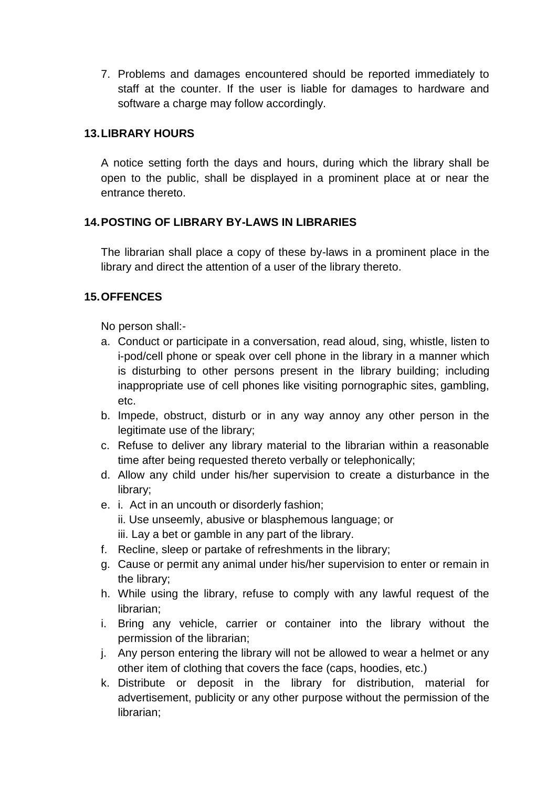7. Problems and damages encountered should be reported immediately to staff at the counter. If the user is liable for damages to hardware and software a charge may follow accordingly.

#### **13.LIBRARY HOURS**

A notice setting forth the days and hours, during which the library shall be open to the public, shall be displayed in a prominent place at or near the entrance thereto.

# **14.POSTING OF LIBRARY BY-LAWS IN LIBRARIES**

The librarian shall place a copy of these by-laws in a prominent place in the library and direct the attention of a user of the library thereto.

# **15.OFFENCES**

No person shall:-

- a. Conduct or participate in a conversation, read aloud, sing, whistle, listen to i-pod/cell phone or speak over cell phone in the library in a manner which is disturbing to other persons present in the library building; including inappropriate use of cell phones like visiting pornographic sites, gambling, etc.
- b. Impede, obstruct, disturb or in any way annoy any other person in the legitimate use of the library;
- c. Refuse to deliver any library material to the librarian within a reasonable time after being requested thereto verbally or telephonically;
- d. Allow any child under his/her supervision to create a disturbance in the library;
- e. i. Act in an uncouth or disorderly fashion; ii. Use unseemly, abusive or blasphemous language; or iii. Lay a bet or gamble in any part of the library.
- f. Recline, sleep or partake of refreshments in the library;
- g. Cause or permit any animal under his/her supervision to enter or remain in the library;
- h. While using the library, refuse to comply with any lawful request of the librarian;
- i. Bring any vehicle, carrier or container into the library without the permission of the librarian;
- j. Any person entering the library will not be allowed to wear a helmet or any other item of clothing that covers the face (caps, hoodies, etc.)
- k. Distribute or deposit in the library for distribution, material for advertisement, publicity or any other purpose without the permission of the librarian;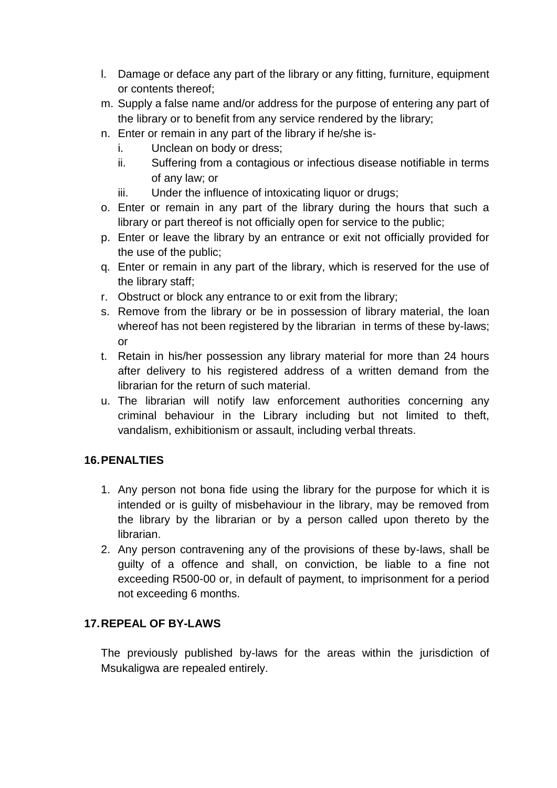- l. Damage or deface any part of the library or any fitting, furniture, equipment or contents thereof;
- m. Supply a false name and/or address for the purpose of entering any part of the library or to benefit from any service rendered by the library;
- n. Enter or remain in any part of the library if he/she is
	- i. Unclean on body or dress;
	- ii. Suffering from a contagious or infectious disease notifiable in terms of any law; or
	- iii. Under the influence of intoxicating liquor or drugs:
- o. Enter or remain in any part of the library during the hours that such a library or part thereof is not officially open for service to the public;
- p. Enter or leave the library by an entrance or exit not officially provided for the use of the public;
- q. Enter or remain in any part of the library, which is reserved for the use of the library staff;
- r. Obstruct or block any entrance to or exit from the library;
- s. Remove from the library or be in possession of library material, the loan whereof has not been registered by the librarian in terms of these by-laws; or
- t. Retain in his/her possession any library material for more than 24 hours after delivery to his registered address of a written demand from the librarian for the return of such material.
- u. The librarian will notify law enforcement authorities concerning any criminal behaviour in the Library including but not limited to theft, vandalism, exhibitionism or assault, including verbal threats.

# **16.PENALTIES**

- 1. Any person not bona fide using the library for the purpose for which it is intended or is guilty of misbehaviour in the library, may be removed from the library by the librarian or by a person called upon thereto by the librarian.
- 2. Any person contravening any of the provisions of these by-laws, shall be guilty of a offence and shall, on conviction, be liable to a fine not exceeding R500-00 or, in default of payment, to imprisonment for a period not exceeding 6 months.

#### **17.REPEAL OF BY-LAWS**

The previously published by-laws for the areas within the jurisdiction of Msukaligwa are repealed entirely.